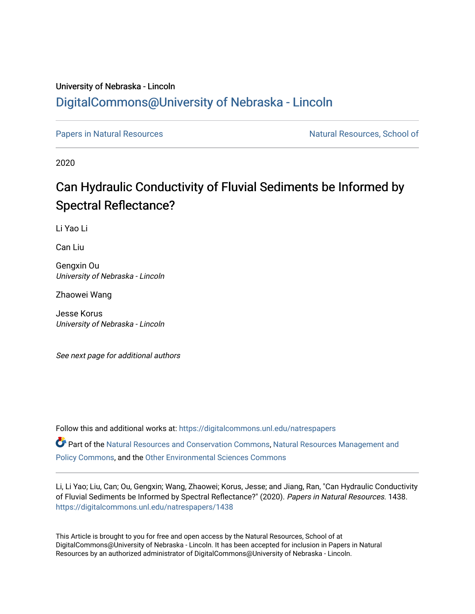## University of Nebraska - Lincoln [DigitalCommons@University of Nebraska - Lincoln](https://digitalcommons.unl.edu/)

[Papers in Natural Resources](https://digitalcommons.unl.edu/natrespapers) Natural Resources Natural Resources, School of

2020

# Can Hydraulic Conductivity of Fluvial Sediments be Informed by Spectral Reflectance?

Li Yao Li

Can Liu

Gengxin Ou University of Nebraska - Lincoln

Zhaowei Wang

Jesse Korus University of Nebraska - Lincoln

See next page for additional authors

Follow this and additional works at: [https://digitalcommons.unl.edu/natrespapers](https://digitalcommons.unl.edu/natrespapers?utm_source=digitalcommons.unl.edu%2Fnatrespapers%2F1438&utm_medium=PDF&utm_campaign=PDFCoverPages) Part of the [Natural Resources and Conservation Commons,](http://network.bepress.com/hgg/discipline/168?utm_source=digitalcommons.unl.edu%2Fnatrespapers%2F1438&utm_medium=PDF&utm_campaign=PDFCoverPages) [Natural Resources Management and](http://network.bepress.com/hgg/discipline/170?utm_source=digitalcommons.unl.edu%2Fnatrespapers%2F1438&utm_medium=PDF&utm_campaign=PDFCoverPages) [Policy Commons](http://network.bepress.com/hgg/discipline/170?utm_source=digitalcommons.unl.edu%2Fnatrespapers%2F1438&utm_medium=PDF&utm_campaign=PDFCoverPages), and the [Other Environmental Sciences Commons](http://network.bepress.com/hgg/discipline/173?utm_source=digitalcommons.unl.edu%2Fnatrespapers%2F1438&utm_medium=PDF&utm_campaign=PDFCoverPages)

Li, Li Yao; Liu, Can; Ou, Gengxin; Wang, Zhaowei; Korus, Jesse; and Jiang, Ran, "Can Hydraulic Conductivity of Fluvial Sediments be Informed by Spectral Reflectance?" (2020). Papers in Natural Resources. 1438. [https://digitalcommons.unl.edu/natrespapers/1438](https://digitalcommons.unl.edu/natrespapers/1438?utm_source=digitalcommons.unl.edu%2Fnatrespapers%2F1438&utm_medium=PDF&utm_campaign=PDFCoverPages) 

This Article is brought to you for free and open access by the Natural Resources, School of at DigitalCommons@University of Nebraska - Lincoln. It has been accepted for inclusion in Papers in Natural Resources by an authorized administrator of DigitalCommons@University of Nebraska - Lincoln.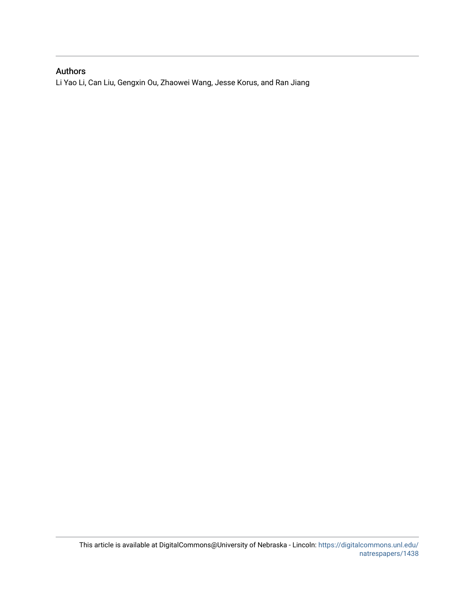### Authors

Li Yao Li, Can Liu, Gengxin Ou, Zhaowei Wang, Jesse Korus, and Ran Jiang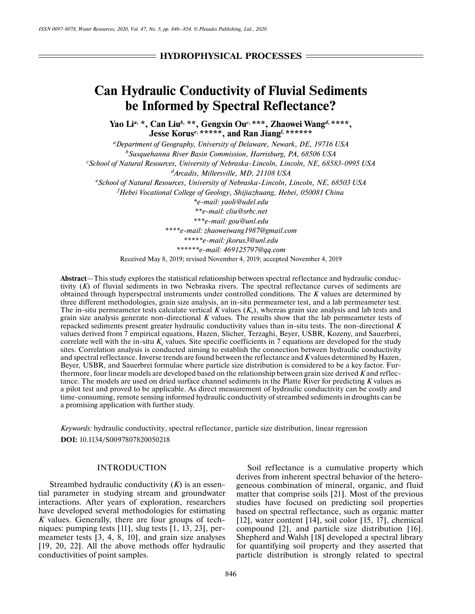# **Can Hydraulic Conductivity of Fluvial Sediments be Informed by Spectral Reflectance?**

**Yao Li***<sup>a</sup>***, \*, Can Liu***<sup>b</sup>***, \*\*, Gengxin Ou***<sup>c</sup>***, \*\*\*, Zhaowei Wang***<sup>d</sup>***, \*\*\*\*, Jesse Korus***<sup>e</sup>***, \*\*\*\*\*, and Ran Jiang***<sup>f</sup>***, \*\*\*\*\*\***

*aDepartment of Geography, University of Delaware, Newark, DE, 19716 USA b Susquehanna River Basin Commission, Harrisburg, PA, 68506 USA c School of Natural Resources, University of Nebraska-Lincoln, Lincoln, NE, 68583-0995 USA dArcadis, Millersville, MD, 21108 USA e School of Natural Resources, University of Nebraska-Lincoln, Lincoln, NE, 68503 USA f Hebei Vocational College of Geology, Shijiazhuang, Hebei, 050081 China \*e-mail: yaoli@udel.edu \*\*e-mail: cliu@srbc.net \*\*\*e-mail: gou@unl.edu \*\*\*\*e-mail: zhaoweiwang1987@gmail.com \*\*\*\*\*e-mail: jkorus3@unl.edu \*\*\*\*\*\*e-mail: 469125797@qq.com* Received May 8, 2019; revised November 4, 2019; accepted November 4, 2019

**Abstract**—This study explores the statistical relationship between spectral reflectance and hydraulic conductivity (*K*) of fluvial sediments in two Nebraska rivers. The spectral reflectance curves of sediments are obtained through hyperspectral instruments under controlled conditions. The *K* values are determined by three different methodologies, grain size analysis, an in-situ permeameter test, and a lab permeameter test. The in-situ permeameter tests calculate vertical *K* values  $(K_v)$ , whereas grain size analysis and lab tests and grain size analysis generate non-directional *K* values. The results show that the lab permeameter tests of repacked sediments present greater hydraulic conductivity values than in-situ tests. The non-directional *K* values derived from 7 empirical equations, Hazen, Slicher, Terzaghi, Beyer, USBR, Kozeny, and Sauerbrei, correlate well with the in-situ  $K_v$  values. Site specific coefficients in 7 equations are developed for the study sites. Correlation analysis is conducted aiming to establish the connection between hydraulic conductivity and spectral reflectance. Inverse trends are found between the reflectance and *K* values determined by Hazen, Beyer, USBR, and Sauerbrei formulae where particle size distribution is considered to be a key factor. Furthermore, four linear models are developed based on the relationship between grain size derived *K* and reflectance. The models are used on dried surface channel sediments in the Platte River for predicting *K* values as a pilot test and proved to be applicable. As direct measurement of hydraulic conductivity can be costly and time-consuming, remote sensing informed hydraulic conductivity of streambed sediments in droughts can be a promising application with further study.

*Keywords:* hydraulic conductivity, spectral reflectance, particle size distribution, linear regression **DOI:** 10.1134/S0097807820050218

#### INTRODUCTION

Streambed hydraulic conductivity (*K*) is an essential parameter in studying stream and groundwater interactions. After years of exploration, researchers have developed several methodologies for estimating *K* values. Generally, there are four groups of techniques: pumping tests [11], slug tests [1, 13, 23], permeameter tests [3, 4, 8, 10], and grain size analyses [19, 20, 22]. All the above methods offer hydraulic conductivities of point samples.

Soil reflectance is a cumulative property which derives from inherent spectral behavior of the heterogeneous combination of mineral, organic, and fluid matter that comprise soils [21]. Most of the previous studies have focused on predicting soil properties based on spectral reflectance, such as organic matter [12], water content [14], soil color [15, 17], chemical compound [2], and particle size distribution [16]. Shepherd and Walsh [18] developed a spectral library for quantifying soil property and they asserted that particle distribution is strongly related to spectral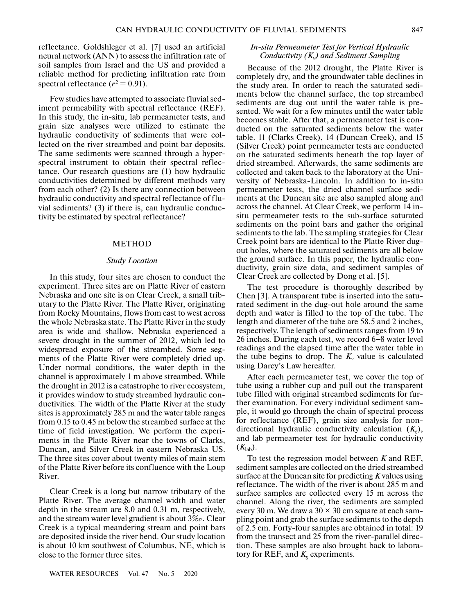reflectance. Goldshleger et al. [7] used an artificial neural network (ANN) to assess the infiltration rate of soil samples from Israel and the US and provided a reliable method for predicting infiltration rate from spectral reflectance  $(r^2 = 0.91)$ .

Few studies have attempted to associate fluvial sediment permeability with spectral reflectance (REF). In this study, the in-situ, lab permeameter tests, and grain size analyses were utilized to estimate the hydraulic conductivity of sediments that were collected on the river streambed and point bar deposits. The same sediments were scanned through a hyperspectral instrument to obtain their spectral reflectance. Our research questions are (1) how hydraulic conductivities determined by different methods vary from each other? (2) Is there any connection between hydraulic conductivity and spectral reflectance of fluvial sediments? (3) if there is, can hydraulic conductivity be estimated by spectral reflectance?

#### METHOD

#### *Study Location*

In this study, four sites are chosen to conduct the experiment. Three sites are on Platte River of eastern Nebraska and one site is on Clear Creek, a small tributary to the Platte River. The Platte River, originating from Rocky Mountains, flows from east to west across the whole Nebraska state. The Platte River in the study area is wide and shallow. Nebraska experienced a severe drought in the summer of 2012, which led to widespread exposure of the streambed. Some segments of the Platte River were completely dried up. Under normal conditions, the water depth in the channel is approximately 1 m above streambed. While the drought in 2012 is a catastrophe to river ecosystem, it provides window to study streambed hydraulic conductivities. The width of the Platte River at the study sites is approximately 285 m and the water table ranges from 0.15 to 0.45 m below the streambed surface at the time of field investigation. We perform the experiments in the Platte River near the towns of Clarks, Duncan, and Silver Creek in eastern Nebraska US. The three sites cover about twenty miles of main stem of the Platte River before its confluence with the Loup River.

Clear Creek is a long but narrow tributary of the Platte River. The average channel width and water depth in the stream are 8.0 and 0.31 m, respectively, and the stream water level gradient is about 3‰. Clear Creek is a typical meandering stream and point bars are deposited inside the river bend. Our study location is about 10 km southwest of Columbus, NE, which is close to the former three sites.

#### *In-situ Permeameter Test for Vertical Hydraulic Conductivity (K*v*) and Sediment Sampling*

Because of the 2012 drought, the Platte River is completely dry, and the groundwater table declines in the study area. In order to reach the saturated sediments below the channel surface, the top streambed sediments are dug out until the water table is presented. We wait for a few minutes until the water table becomes stable. After that, a permeameter test is conducted on the saturated sediments below the water table. 11 (Clarks Creek), 14 (Duncan Creek), and 15 (Silver Creek) point permeameter tests are conducted on the saturated sediments beneath the top layer of dried streambed. Afterwards, the same sediments are collected and taken back to the laboratory at the University of Nebraska-Lincoln. In addition to in-situ permeameter tests, the dried channel surface sediments at the Duncan site are also sampled along and across the channel. At Clear Creek, we perform 14 insitu permeameter tests to the sub-surface saturated sediments on the point bars and gather the original sediments to the lab. The sampling strategies for Clear Creek point bars are identical to the Platte River dugout holes, where the saturated sediments are all below the ground surface. In this paper, the hydraulic conductivity, grain size data, and sediment samples of Clear Creek are collected by Dong et al. [5].

The test procedure is thoroughly described by Chen [3]. A transparent tube is inserted into the saturated sediment in the dug-out hole around the same depth and water is filled to the top of the tube. The length and diameter of the tube are 58.5 and 2 inches, respectively. The length of sediments ranges from 19 to 26 inches. During each test, we record 6−8 water level readings and the elapsed time after the water table in the tube begins to drop. The  $K_v$  value is calculated using Darcy's Law hereafter.

After each permeameter test, we cover the top of tube using a rubber cup and pull out the transparent tube filled with original streambed sediments for further examination. For every individual sediment sample, it would go through the chain of spectral process for reflectance (REF), grain size analysis for nondirectional hydraulic conductivity calculation (*Kg*), and lab permeameter test for hydraulic conductivity  $(K_{\text{lab}})$ .

To test the regression model between *K* and REF, sediment samples are collected on the dried streambed surface at the Duncan site for predicting *K* values using reflectance. The width of the river is about 285 m and surface samples are collected every 15 m across the channel. Along the river, the sediments are sampled every 30 m. We draw a  $30 \times 30$  cm square at each sampling point and grab the surface sediments to the depth of 2.5 cm. Forty-four samples are obtained in total: 19 from the transect and 25 from the river-parallel direction. These samples are also brought back to laboratory for REF, and  $K_g$  experiments.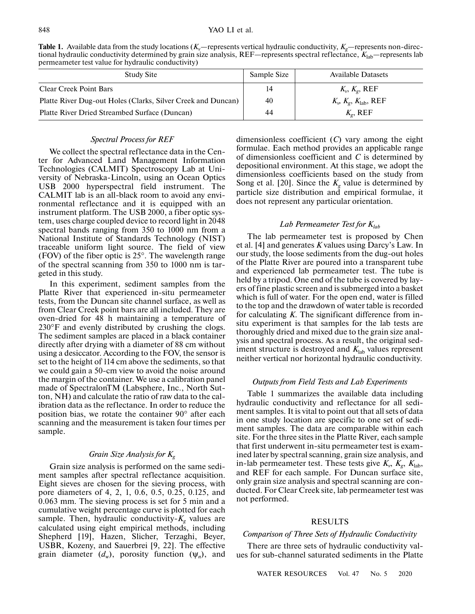**Table 1.** Available data from the study locations  $(K_v$ —represents vertical hydraulic conductivity,  $K_v$ —represents non-directional hydraulic conductivity determined by grain size analysis, REF—represents spectral reflectance,  $K_{\text{lab}}$ —represents lab permeameter test value for hydraulic conductivity)

| Study Site                                                   | Sample Size | Available Datasets                          |
|--------------------------------------------------------------|-------------|---------------------------------------------|
| <b>Clear Creek Point Bars</b>                                | 14          | $K_{v}$ , $K_{\varrho}$ , REF               |
| Platte River Dug-out Holes (Clarks, Silver Creek and Duncan) | 40          | $K_{\nu} K_{g}, K_{\text{lab}}, \text{REF}$ |
| Platte River Dried Streambed Surface (Duncan)                | 44          | $K_{\varrho}$ , REF                         |

#### *Spectral Process for REF*

We collect the spectral reflectance data in the Center for Advanced Land Management Information Technologies (CALMIT) Spectroscopy Lab at University of Nebraska-Lincoln, using an Ocean Optics USB 2000 hyperspectral field instrument. The CALMIT lab is an all-black room to avoid any environmental reflectance and it is equipped with an instrument platform. The USB 2000, a fiber optic system, uses charge coupled device to record light in 2048 spectral bands ranging from 350 to 1000 nm from a National Institute of Standards Technology (NIST) traceable uniform light source. The field of view (FOV) of the fiber optic is 25°. The wavelength range of the spectral scanning from 350 to 1000 nm is targeted in this study.

In this experiment, sediment samples from the Platte River that experienced in-situ permeameter tests, from the Duncan site channel surface, as well as from Clear Creek point bars are all included. They are oven-dried for 48 h maintaining a temperature of 230°F and evenly distributed by crushing the clogs. The sediment samples are placed in a black container directly after drying with a diameter of 88 cm without using a desiccator. According to the FOV, the sensor is set to the height of 114 cm above the sediments, so that we could gain a 50-cm view to avoid the noise around the margin of the container. We use a calibration panel made of SpectralonTM (Labsphere, Inc., North Sutton, NH) and calculate the ratio of raw data to the calibration data as the reflectance. In order to reduce the position bias, we rotate the container 90° after each scanning and the measurement is taken four times per sample.

### *Grain Size Analysis for Kg*

Grain size analysis is performed on the same sediment samples after spectral reflectance acquisition. Eight sieves are chosen for the sieving process, with pore diameters of 4, 2, 1, 0.6, 0.5, 0.25, 0.125, and 0.063 mm. The sieving process is set for 5 min and a cumulative weight percentage curve is plotted for each sample. Then, hydraulic conductivity- $K<sub>g</sub>$  values are calculated using eight empirical methods, including Shepherd [19], Hazen, Slicher, Terzaghi, Beyer, USBR, Kozeny, and Sauerbrei [9, 22]. The effective grain diameter  $(d_w)$ , porosity function  $(\Psi_n)$ , and dimensionless coefficient (*C*) vary among the eight formulae. Each method provides an applicable range of dimensionless coefficient and *C* is determined by depositional environment. At this stage, we adopt the dimensionless coefficients based on the study from Song et al. [20]. Since the  $K_g$  value is determined by particle size distribution and empirical formulae, it does not represent any particular orientation.

#### *Lab Permeameter Test for K*<sub>lab</sub>

The lab permeameter test is proposed by Chen et al. [4] and generates *K* values using Darcy's Law. In our study, the loose sediments from the dug-out holes of the Platte River are poured into a transparent tube and experienced lab permeameter test. The tube is held by a tripod. One end of the tube is covered by layers of fine plastic screen and is submerged into a basket which is full of water. For the open end, water is filled to the top and the drawdown of water table is recorded for calculating *K*. The significant difference from insitu experiment is that samples for the lab tests are thoroughly dried and mixed due to the grain size analysis and spectral process. As a result, the original sediment structure is destroyed and  $K_{lab}$  values represent neither vertical nor horizontal hydraulic conductivity.

#### *Outputs from Field Tests and Lab Experiments*

Table 1 summarizes the available data including hydraulic conductivity and reflectance for all sediment samples. It is vital to point out that all sets of data in one study location are specific to one set of sediment samples. The data are comparable within each site. For the three sites in the Platte River, each sample that first underwent in-situ permeameter test is examined later by spectral scanning, grain size analysis, and in-lab permeameter test. These tests give  $K_{\nu}$ ,  $K_{\rm g}$ ,  $K_{\rm lab}$ , and REF for each sample. For Duncan surface site, only grain size analysis and spectral scanning are conducted. For Clear Creek site, lab permeameter test was not performed.

#### RESULTS

#### *Comparison of Three Sets of Hydraulic Conductivity*

There are three sets of hydraulic conductivity values for sub-channel saturated sediments in the Platte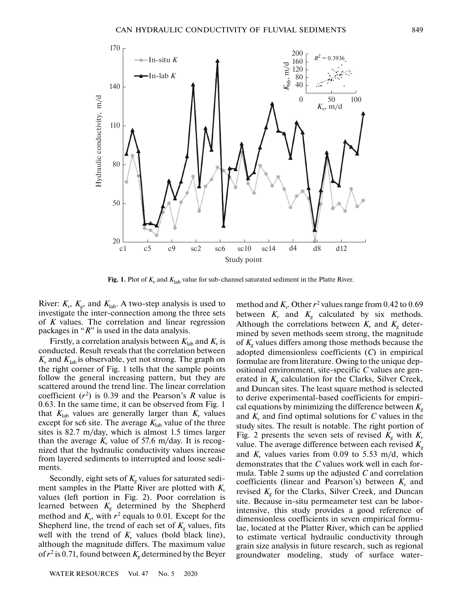

**Fig. 1.** Plot of  $K_v$  and  $K_{lab}$  value for sub-channel saturated sediment in the Platte River.

River:  $K_v$ ,  $K_g$ , and  $K_{lab}$ . A two-step analysis is used to investigate the inter-connection among the three sets of *K* values. The correlation and linear regression packages in "*R*" is used in the data analysis.

Firstly, a correlation analysis between  $K_{lab}$  and  $K_v$  is conducted. Result reveals that the correlation between  $K_v$  and  $K_{lab}$  is observable, yet not strong. The graph on the right corner of Fig. 1 tells that the sample points follow the general increasing pattern, but they are scattered around the trend line. The linear correlation coefficient  $(r^2)$  is 0.39 and the Pearson's *R* value is 0.63. In the same time, it can be observed from Fig. 1 that  $K_{\text{lab}}$  values are generally larger than  $K_{\nu}$  values except for sc6 site. The average  $K_{lab}$  value of the three sites is 82.7 m/day, which is almost 1.5 times larger than the average  $K_v$  value of 57.6 m/day. It is recognized that the hydraulic conductivity values increase from layered sediments to interrupted and loose sediments.

Secondly, eight sets of  $K_g$  values for saturated sediment samples in the Platte River are plotted with  $K_v$ values (left portion in Fig. 2). Poor correlation is learned between  $K_g$  determined by the Shepherd method and  $K_v$ , with  $r^2$  equals to 0.01. Except for the Shepherd line, the trend of each set of  $K_g$  values, fits well with the trend of  $K_v$  values (bold black line), although the magnitude differs. The maximum value of  $r^2$  is 0.71, found between  $K_g$  determined by the Beyer

WATER RESOURCES Vol. 47 No. 5 2020

method and  $K_v$ . Other  $r^2$  values range from 0.42 to 0.69 between  $K_v$  and  $K_g$  calculated by six methods. Although the correlations between  $K_v$  and  $K_g$  determined by seven methods seem strong, the magnitude of  $K_g$  values differs among those methods because the adopted dimensionless coefficients (*C*) in empirical formulae are from literature. Owing to the unique depositional environment, site-specific *C* values are generated in  $K_g$  calculation for the Clarks, Silver Creek, and Duncan sites. The least square method is selected to derive experimental-based coefficients for empirical equations by minimizing the difference between  $K_g$ and  $K_v$  and find optimal solutions for C values in the study sites. The result is notable. The right portion of Fig. 2 presents the seven sets of revised  $K_g$  with  $K_v$ value. The average difference between each revised  $K_g$ and  $K_v$  values varies from 0.09 to 5.53 m/d, which demonstrates that the *C* values work well in each formula. Table 2 sums up the adjusted *C* and correlation coefficients (linear and Pearson's) between  $K_v$  and revised  $K_g$  for the Clarks, Silver Creek, and Duncan site. Because in-situ permeameter test can be laborintensive, this study provides a good reference of dimensionless coefficients in seven empirical formulae, located at the Platter River, which can be applied to estimate vertical hydraulic conductivity through grain size analysis in future research, such as regional groundwater modeling, study of surface water-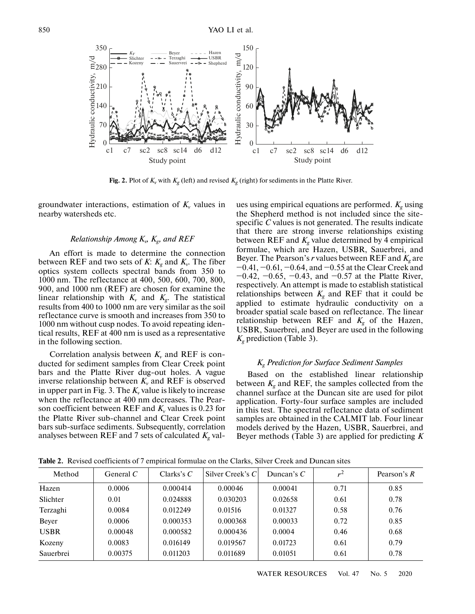

**Fig. 2.** Plot of  $K_v$  with  $K_g$  (left) and revised  $K_g$  (right) for sediments in the Platte River.

groundwater interactions, estimation of  $K_v$  values in nearby watersheds etc.

### *Relationship Among*  $K_{\nu}$ ,  $K_{\rm g}$ , and REF

An effort is made to determine the connection between REF and two sets of *K*:  $K_g$  and  $K_v$ . The fiber optics system collects spectral bands from 350 to 1000 nm. The reflectance at 400, 500, 600, 700, 800, 900, and 1000 nm (REF) are chosen for examine the linear relationship with  $K_v$  and  $K_g$ . The statistical results from 400 to 1000 nm are very similar as the soil reflectance curve is smooth and increases from 350 to 1000 nm without cusp nodes. To avoid repeating identical results, REF at 400 nm is used as a representative in the following section.

Correlation analysis between  $K_v$  and REF is conducted for sediment samples from Clear Creek point bars and the Platte River dug-out holes. A vague inverse relationship between  $K_v$  and REF is observed in upper part in Fig. 3. The  $K_v$  value is likely to increase when the reflectance at 400 nm decreases. The Pearson coefficient between REF and  $K_v$  values is 0.23 for the Platte River sub-channel and Clear Creek point bars sub-surface sediments. Subsequently, correlation analyses between REF and 7 sets of calculated  $K<sub>g</sub>$  values using empirical equations are performed.  $K<sub>e</sub>$  using the Shepherd method is not included since the sitespecific *C* values is not generated. The results indicate that there are strong inverse relationships existing between REF and  $K<sub>g</sub>$  value determined by 4 empirical formulae, which are Hazen, USBR, Sauerbrei, and Beyer. The Pearson's  $r$  values between REF and  $K_g$  are −0.41, −0.61, −0.64, and −0.55 at the Clear Creek and −0.42, −0.65, −0.43, and −0.57 at the Platte River, respectively. An attempt is made to establish statistical relationships between  $K_g$  and REF that it could be applied to estimate hydraulic conductivity on a broader spatial scale based on reflectance. The linear relationship between REF and  $K_g$  of the Hazen, USBR, Sauerbrei, and Beyer are used in the following *Kg* prediction (Table 3).

#### *Kg Prediction for Surface Sediment Samples*

Based on the established linear relationship between  $K_g$  and REF, the samples collected from the channel surface at the Duncan site are used for pilot application. Forty-four surface samples are included in this test. The spectral reflectance data of sediment samples are obtained in the CALMIT lab. Four linear models derived by the Hazen, USBR, Sauerbrei, and Beyer methods (Table 3) are applied for predicting *K*

| Method      | General $C$ | Clarks's $C$ | Silver Creek's C | Duncan's $C$ | $\mathbf{r}^{\perp}$ | Pearson's $R$ |
|-------------|-------------|--------------|------------------|--------------|----------------------|---------------|
| Hazen       | 0.0006      | 0.000414     | 0.00046          | 0.00041      | 0.71                 | 0.85          |
| Slichter    | 0.01        | 0.024888     | 0.030203         | 0.02658      | 0.61                 | 0.78          |
| Terzaghi    | 0.0084      | 0.012249     | 0.01516          | 0.01327      | 0.58                 | 0.76          |
| Bever       | 0.0006      | 0.000353     | 0.000368         | 0.00033      | 0.72                 | 0.85          |
| <b>USBR</b> | 0.00048     | 0.000582     | 0.000436         | 0.0004       | 0.46                 | 0.68          |
| Kozeny      | 0.0083      | 0.016149     | 0.019567         | 0.01723      | 0.61                 | 0.79          |
| Sauerbrei   | 0.00375     | 0.011203     | 0.011689         | 0.01051      | 0.61                 | 0.78          |

**Table 2.** Revised coefficients of 7 empirical formulae on the Clarks, Silver Creek and Duncan sites

WATER RESOURCES Vol. 47 No. 5 2020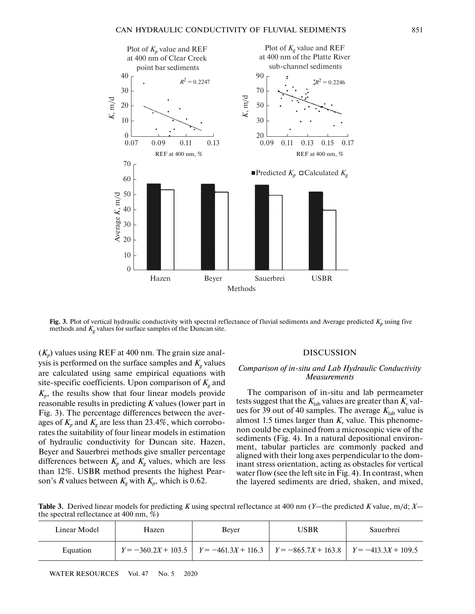

**Fig. 3.** Plot of vertical hydraulic conductivity with spectral reflectance of fluvial sediments and Average predicted  $K_p$  using five methods and  $K_g$  values for surface samples of the Duncan site.

 $(K_p)$  values using REF at 400 nm. The grain size analysis is performed on the surface samples and  $K_g$  values are calculated using same empirical equations with site-specific coefficients. Upon comparison of  $K<sub>g</sub>$  and  $K_p$ , the results show that four linear models provide reasonable results in predicting *K* values (lower part in Fig. 3). The percentage differences between the averages of  $K_p$  and  $K_g$  are less than 23.4%, which corroborates the suitability of four linear models in estimation of hydraulic conductivity for Duncan site. Hazen, Beyer and Sauerbrei methods give smaller percentage differences between  $K_p$  and  $K_g$  values, which are less than 12%. USBR method presents the highest Pearson's *R* values between  $K_g$  with  $K_p$ , which is 0.62.

#### DISCUSSION

#### *Comparison of in-situ and Lab Hydraulic Conductivity Measurements*

The comparison of in-situ and lab permeameter tests suggest that the  $K_{lab}$  values are greater than  $K_v$  values for 39 out of 40 samples. The average  $K_{\text{lab}}$  value is almost 1.5 times larger than  $K_v$  value. This phenomenon could be explained from a microscopic view of the sediments (Fig. 4). In a natural depositional environment, tabular particles are commonly packed and aligned with their long axes perpendicular to the dominant stress orientation, acting as obstacles for vertical water flow (see the left site in Fig. 4). In contrast, when the layered sediments are dried, shaken, and mixed,

**Table 3.** Derived linear models for predicting *K* using spectral reflectance at 400 nm (*Y*—the predicted *K* value, m/d; *X* the spectral reflectance at 400 nm, %)

| Linear Model | Hazen | Bever | USBR                                                                                    | <b>Sauerbrei</b> |
|--------------|-------|-------|-----------------------------------------------------------------------------------------|------------------|
| Equation     |       |       | $Y = -360.2X + 103.5$ $Y = -461.3X + 116.3$ $Y = -865.7X + 163.8$ $Y = -413.3X + 109.5$ |                  |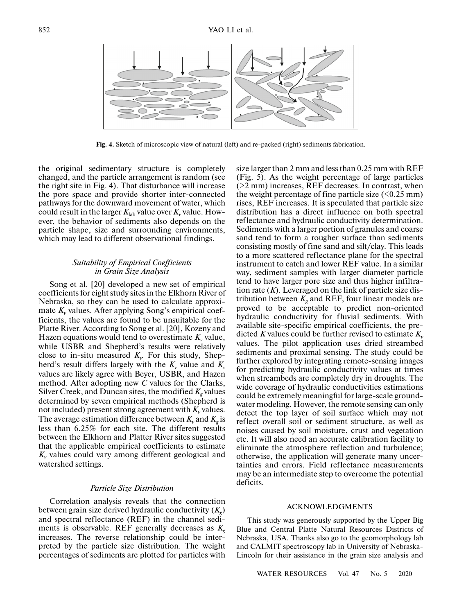

**Fig. 4.** Sketch of microscopic view of natural (left) and re-packed (right) sediments fabrication.

the original sedimentary structure is completely changed, and the particle arrangement is random (see the right site in Fig. 4). That disturbance will increase the pore space and provide shorter inter-connected pathways for the downward movement of water, which could result in the larger  $K_{lab}$  value over  $K_v$  value. However, the behavior of sediments also depends on the particle shape, size and surrounding environments, which may lead to different observational findings.

#### *Suitability of Empirical Coefficients in Grain Size Analysis*

Song et al. [20] developed a new set of empirical coefficients for eight study sites in the Elkhorn River of Nebraska, so they can be used to calculate approximate  $K_v$  values. After applying Song's empirical coefficients, the values are found to be unsuitable for the Platte River. According to Song et al. [20], Kozeny and Hazen equations would tend to overestimate  $K_v$  value, while USBR and Shepherd's results were relatively close to in-situ measured  $K_v$ . For this study, Shepherd's result differs largely with the  $K_v$  value and  $K_v$ values are likely agree with Beyer, USBR, and Hazen method. After adopting new *C* values for the Clarks, Silver Creek, and Duncan sites, the modified  $K_g$  values determined by seven empirical methods (Shepherd is not included) present strong agreement with  $K_v$  values. The average estimation difference between  $K_v$  and  $K_g$  is less than 6.25% for each site. The different results between the Elkhorn and Platter River sites suggested that the applicable empirical coefficients to estimate  $K_v$  values could vary among different geological and watershed settings.

#### *Particle Size Distribution*

Correlation analysis reveals that the connection between grain size derived hydraulic conductivity (*Kg*) and spectral reflectance (REF) in the channel sediments is observable. REF generally decreases as  $K_g$ increases. The reverse relationship could be interpreted by the particle size distribution. The weight percentages of sediments are plotted for particles with size larger than 2 mm and less than 0.25 mm with REF (Fig. 5). As the weight percentage of large particles (>2 mm) increases, REF decreases. In contrast, when the weight percentage of fine particle size  $(\leq 0.25 \text{ mm})$ rises, REF increases. It is speculated that particle size distribution has a direct influence on both spectral reflectance and hydraulic conductivity determination. Sediments with a larger portion of granules and coarse sand tend to form a rougher surface than sediments consisting mostly of fine sand and silt/clay. This leads to a more scattered reflectance plane for the spectral instrument to catch and lower REF value. In a similar way, sediment samples with larger diameter particle tend to have larger pore size and thus higher infiltration rate  $(K)$ . Leveraged on the link of particle size distribution between  $K_{g}$  and REF, four linear models are proved to be acceptable to predict non-oriented hydraulic conductivity for fluvial sediments. With available site-specific empirical coefficients, the predicted *K* values could be further revised to estimate  $K_v$ values. The pilot application uses dried streambed sediments and proximal sensing. The study could be further explored by integrating remote-sensing images for predicting hydraulic conductivity values at times when streambeds are completely dry in droughts. The wide coverage of hydraulic conductivities estimations could be extremely meaningful for large-scale groundwater modeling. However, the remote sensing can only detect the top layer of soil surface which may not reflect overall soil or sediment structure, as well as noises caused by soil moisture, crust and vegetation etc. It will also need an accurate calibration facility to eliminate the atmosphere reflection and turbulence; otherwise, the application will generate many uncertainties and errors. Field reflectance measurements may be an intermediate step to overcome the potential deficits.

#### ACKNOWLEDGMENTS

This study was generously supported by the Upper Big Blue and Central Platte Natural Resources Districts of Nebraska, USA. Thanks also go to the geomorphology lab and CALMIT spectroscopy lab in University of Nebraska-Lincoln for their assistance in the grain size analysis and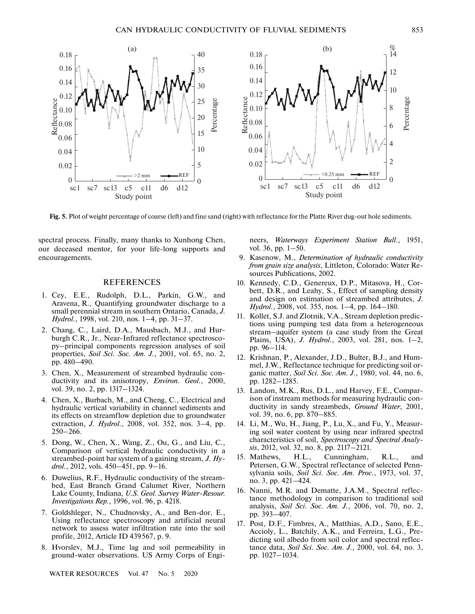

**Fig. 5.** Plot of weight percentage of coarse (left) and fine sand (right) with reflectance for the Platte River dug-out hole sediments.

spectral process. Finally, many thanks to Xunhong Chen, our deceased mentor, for your life-long supports and encouragements.

#### REFERENCES

- 1. Cey, E.E., Rudolph, D.L., Parkin, G.W., and Aravena, R., Quantifying groundwater discharge to a small perennial stream in southern Ontario, Canada, *J. Hydrol.*, 1998, vol. 210, nos. 1–4, pp. 31–37.
- 2. Chang, C., Laird, D.A., Mausbach, M.J., and Hurburgh C.R., Jr., Near-Infrared reflectance spectroscopy–principal components regression analyses of soil properties, *Soil Sci. Soc. Am. J.*, 2001, vol. 65, no. 2, pp. 480–490.
- 3. Chen, X., Measurement of streambed hydraulic conductivity and its anisotropy, *Environ. Geol.*, 2000, vol. 39, no. 2, pp. 1317–1324.
- 4. Chen, X., Burbach, M., and Cheng, C., Electrical and hydraulic vertical variability in channel sediments and its effects on streamflow depletion due to groundwater extraction, *J. Hydrol.*, 2008, vol. 352, nos. 3–4, pp. 250–266.
- 5. Dong, W., Chen, X., Wang, Z., Ou, G., and Liu, C., Comparison of vertical hydraulic conductivity in a streambed-point bar system of a gaining stream, *J. Hydrol.*, 2012, vols. 450–451, pp. 9–16.
- 6. Duwelius, R.F., Hydraulic conductivity of the streambed, East Branch Grand Calumet River, Northern Lake County, Indiana, *U.S. Geol. Survey Water-Resour. Investigations Rep.*, 1996, vol. 96, p. 4218.
- 7. Goldshleger, N., Chudnovsky, A., and Ben-dor, E., Using reflectance spectroscopy and artificial neural network to assess water infiltration rate into the soil profile, 2012, Article ID 439567, p. 9.
- 8. Hvorslev, M.J., Time lag and soil permeability in ground-water observations. US Army Corps of Engi-

WATER RESOURCES Vol. 47 No. 5 2020

neers, *Waterways Experiment Station Bull.,* 1951, vol. 36, pp. 1–50.

- 9. Kasenow, M., *Determination of hydraulic conductivity from grain size analysis*, Littleton, Colorado: Water Resources Publications, 2002.
- 10. Kennedy, C.D., Genereux, D.P., Mitasova, H., Corbett, D.R., and Leahy, S., Effect of sampling density and design on estimation of streambed attributes, *J. Hydrol.*, 2008, vol. 355, nos. 1–4, pp. 164–180.
- 11. Kollet, S.J. and Zlotnik, V.A., Stream depletion predictions using pumping test data from a heterogeneous stream–aquifer system (a case study from the Great Plains, USA), *J. Hydrol.*, 2003, vol. 281, nos. 1–2, pp. 96–114.
- 12. Krishnan, P., Alexander, J.D., Bulter, B.J., and Hummel, J.W., Reflectance technique for predicting soil organic matter, *Soil Sci. Soc. Am. J.*, 1980, vol. 44, no. 6, pp. 1282–1285.
- 13. Landon, M.K., Rus, D.L., and Harvey, F.E., Comparison of instream methods for measuring hydraulic conductivity in sandy streambeds, *Ground Water*, 2001, vol. 39, no. 6, pp. 870–885.
- 14. Li, M., Wu, H., Jiang, P., Lu, X., and Fu, Y., Measuring soil water content by using near infrared spectral characteristics of soil, *Spectroscopy and Spectral Analysis*, 2012, vol. 32, no. 8, pp. 2117–2121.
- 15. Mathews, H.L., Cunningham, R.L., and Petersen, G.W., Spectral reflectance of selected Pennsylvania soils, *Soil Sci. Soc. Am. Proc.*, 1973, vol. 37, no. 3, pp. 421–424.
- 16. Nanni, M.R. and Dematte, J.A.M., Spectral reflectance methodology in comparison to traditional soil analysis, *Soil Sci. Soc. Am. J.*, 2006, vol. 70, no. 2, pp. 393–407.
- 17. Post, D.F., Fimbres, A., Matthias, A.D., Sano, E.E., Accioly, L., Batchily, A.K., and Ferreira, L.G., Predicting soil albedo from soil color and spectral reflectance data, *Soil Sci. Soc. Am. J.*, 2000, vol. 64, no. 3, pp. 1027–1034.